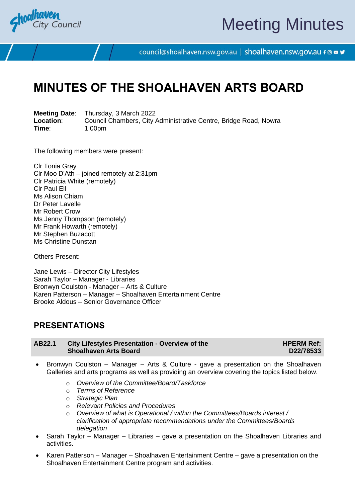

# Meeting Minutes

council@shoalhaven.nsw.gov.au | shoalhaven.nsw.gov.au f @ ■ y

# **MINUTES OF THE SHOALHAVEN ARTS BOARD**

**Meeting Date**: Thursday, 3 March 2022 **Location:** Council Chambers, City Administrative Centre, Bridge Road, Nowra<br>
Time: 1:00pm **Time**: 1:00pm

The following members were present:

Clr Tonia Gray Clr Moo D'Ath – joined remotely at 2:31pm Clr Patricia White (remotely) Clr Paul Ell Ms Alison Chiam Dr Peter Lavelle Mr Robert Crow Ms Jenny Thompson (remotely) Mr Frank Howarth (remotely) Mr Stephen Buzacott Ms Christine Dunstan

Others Present:

Jane Lewis – Director City Lifestyles Sarah Taylor – Manager - Libraries Bronwyn Coulston - Manager – Arts & Culture Karen Patterson – Manager – Shoalhaven Entertainment Centre Brooke Aldous – Senior Governance Officer

### **PRESENTATIONS**

| AB22.1 | <b>City Lifestyles Presentation - Overview of the</b> |
|--------|-------------------------------------------------------|
|        | <b>Shoalhaven Arts Board</b>                          |

**HPERM Ref: D22/78533**

- Bronwyn Coulston Manager Arts & Culture gave a presentation on the Shoalhaven Galleries and arts programs as well as providing an overview covering the topics listed below.
	- o *Overview of the Committee/Board/Taskforce*
	- o *Terms of Reference*
	- o *Strategic Plan*
	- o *Relevant Policies and Procedures*
	- o *Overview of what is Operational / within the Committees/Boards interest / clarification of appropriate recommendations under the Committees/Boards delegation*
- Sarah Taylor Manager Libraries gave a presentation on the Shoalhaven Libraries and activities.
- Karen Patterson Manager Shoalhaven Entertainment Centre gave a presentation on the Shoalhaven Entertainment Centre program and activities.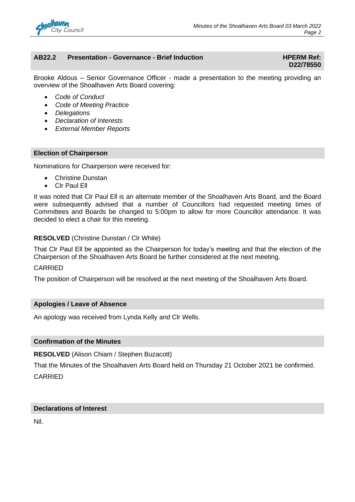

#### **AB22.2 Presentation - Governance - Brief Induction HPERM Ref:**

# **D22/78550**

Brooke Aldous – Senior Governance Officer - made a presentation to the meeting providing an overview of the Shoalhaven Arts Board covering:

- *Code of Conduct*
- *Code of Meeting Practice*
- *Delegations*
- *Declaration of Interests*
- *External Member Reports*

#### **Election of Chairperson**

Nominations for Chairperson were received for:

- Christine Dunstan
- **CIr Paul Ell**

It was noted that Clr Paul Ell is an alternate member of the Shoalhaven Arts Board, and the Board were subsequently advised that a number of Councillors had requested meeting times of Committees and Boards be changed to 5:00pm to allow for more Councillor attendance. It was decided to elect a chair for this meeting.

#### **RESOLVED** (Christine Dunstan / Clr White)

That Clr Paul Ell be appointed as the Chairperson for today's meeting and that the election of the Chairperson of the Shoalhaven Arts Board be further considered at the next meeting.

#### CARRIED

The position of Chairperson will be resolved at the next meeting of the Shoalhaven Arts Board.

#### **Apologies / Leave of Absence**

An apology was received from Lynda Kelly and Clr Wells.

#### **Confirmation of the Minutes**

**RESOLVED** (Alison Chiam / Stephen Buzacott)

That the Minutes of the Shoalhaven Arts Board held on Thursday 21 October 2021 be confirmed. CARRIED

#### **Declarations of Interest**

Nil.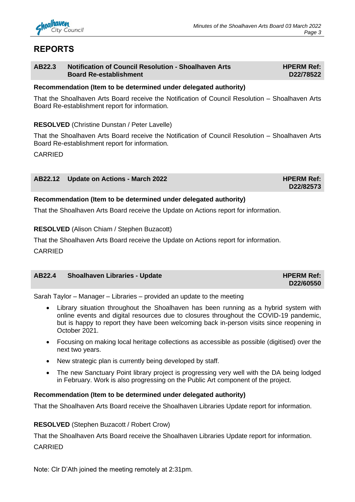

# **REPORTS**

#### **AB22.3 Notification of Council Resolution - Shoalhaven Arts Board Re-establishment**

#### **Recommendation (Item to be determined under delegated authority)**

That the Shoalhaven Arts Board receive the Notification of Council Resolution – Shoalhaven Arts Board Re-establishment report for information.

#### **RESOLVED** (Christine Dunstan / Peter Lavelle)

That the Shoalhaven Arts Board receive the Notification of Council Resolution – Shoalhaven Arts Board Re-establishment report for information.

CARRIED

#### **AB22.12** Update on Actions - March 2022 **HPERM Ref: HPERM Ref:**

**D22/82573**

**HPERM Ref: D22/78522**

#### **Recommendation (Item to be determined under delegated authority)**

That the Shoalhaven Arts Board receive the Update on Actions report for information.

#### **RESOLVED** (Alison Chiam / Stephen Buzacott)

That the Shoalhaven Arts Board receive the Update on Actions report for information.

CARRIED

### **AB22.4** Shoalhaven Libraries - Update **Material Contract Contract Contract Contract Contract Contract Contract Contract Contract Contract Contract Contract Contract Contract Contract Contract Contract Contract Contract Co**

**D22/60550**

Sarah Taylor – Manager – Libraries – provided an update to the meeting

- Library situation throughout the Shoalhaven has been running as a hybrid system with online events and digital resources due to closures throughout the COVID-19 pandemic, but is happy to report they have been welcoming back in-person visits since reopening in October 2021.
- Focusing on making local heritage collections as accessible as possible (digitised) over the next two years.
- New strategic plan is currently being developed by staff.
- The new Sanctuary Point library project is progressing very well with the DA being lodged in February. Work is also progressing on the Public Art component of the project.

#### **Recommendation (Item to be determined under delegated authority)**

That the Shoalhaven Arts Board receive the Shoalhaven Libraries Update report for information.

#### **RESOLVED** (Stephen Buzacott / Robert Crow)

That the Shoalhaven Arts Board receive the Shoalhaven Libraries Update report for information.

CARRIED

Note: Clr D'Ath joined the meeting remotely at 2:31pm.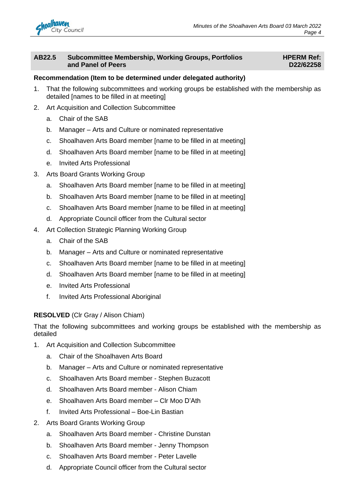

#### **AB22.5 Subcommittee Membership, Working Groups, Portfolios and Panel of Peers**

#### **HPERM Ref: D22/62258**

#### **Recommendation (Item to be determined under delegated authority)**

- 1. That the following subcommittees and working groups be established with the membership as detailed [names to be filled in at meeting]
- 2. Art Acquisition and Collection Subcommittee
	- a. Chair of the SAB
	- b. Manager Arts and Culture or nominated representative
	- c. Shoalhaven Arts Board member [name to be filled in at meeting]
	- d. Shoalhaven Arts Board member [name to be filled in at meeting]
	- e. Invited Arts Professional
- 3. Arts Board Grants Working Group
	- a. Shoalhaven Arts Board member [name to be filled in at meeting]
	- b. Shoalhaven Arts Board member [name to be filled in at meeting]
	- c. Shoalhaven Arts Board member [name to be filled in at meeting]
	- d. Appropriate Council officer from the Cultural sector
- 4. Art Collection Strategic Planning Working Group
	- a. Chair of the SAB
	- b. Manager Arts and Culture or nominated representative
	- c. Shoalhaven Arts Board member [name to be filled in at meeting]
	- d. Shoalhaven Arts Board member [name to be filled in at meeting]
	- e. Invited Arts Professional
	- f. Invited Arts Professional Aboriginal

#### **RESOLVED** (Clr Gray / Alison Chiam)

That the following subcommittees and working groups be established with the membership as detailed

- 1. Art Acquisition and Collection Subcommittee
	- a. Chair of the Shoalhaven Arts Board
	- b. Manager Arts and Culture or nominated representative
	- c. Shoalhaven Arts Board member Stephen Buzacott
	- d. Shoalhaven Arts Board member Alison Chiam
	- e. Shoalhaven Arts Board member Clr Moo D'Ath
	- f. Invited Arts Professional Boe-Lin Bastian
- 2. Arts Board Grants Working Group
	- a. Shoalhaven Arts Board member Christine Dunstan
	- b. Shoalhaven Arts Board member Jenny Thompson
	- c. Shoalhaven Arts Board member Peter Lavelle
	- d. Appropriate Council officer from the Cultural sector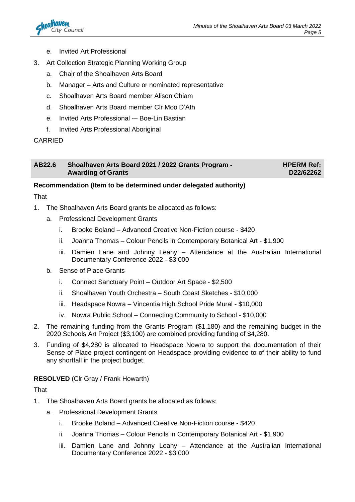

- e. Invited Art Professional
- 3. Art Collection Strategic Planning Working Group
	- a. Chair of the Shoalhaven Arts Board
	- b. Manager Arts and Culture or nominated representative
	- c. Shoalhaven Arts Board member Alison Chiam
	- d. Shoalhaven Arts Board member Clr Moo D'Ath
	- e. Invited Arts Professional -– Boe-Lin Bastian
	- f. Invited Arts Professional Aboriginal

#### CARRIED

#### **AB22.6 Shoalhaven Arts Board 2021 / 2022 Grants Program - Awarding of Grants**

**HPERM Ref: D22/62262**

#### **Recommendation (Item to be determined under delegated authority)**

#### That

- 1. The Shoalhaven Arts Board grants be allocated as follows:
	- a. Professional Development Grants
		- i. Brooke Boland Advanced Creative Non-Fiction course \$420
		- ii. Joanna Thomas Colour Pencils in Contemporary Botanical Art \$1,900
		- iii. Damien Lane and Johnny Leahy Attendance at the Australian International Documentary Conference 2022 - \$3,000
	- b. Sense of Place Grants
		- i. Connect Sanctuary Point Outdoor Art Space \$2,500
		- ii. Shoalhaven Youth Orchestra South Coast Sketches \$10,000
		- iii. Headspace Nowra Vincentia High School Pride Mural \$10,000
		- iv. Nowra Public School Connecting Community to School \$10,000
- 2. The remaining funding from the Grants Program (\$1,180) and the remaining budget in the 2020 Schools Art Project (\$3,100) are combined providing funding of \$4,280.
- 3. Funding of \$4,280 is allocated to Headspace Nowra to support the documentation of their Sense of Place project contingent on Headspace providing evidence to of their ability to fund any shortfall in the project budget.

#### **RESOLVED** (Clr Gray / Frank Howarth)

**That** 

- 1. The Shoalhaven Arts Board grants be allocated as follows:
	- a. Professional Development Grants
		- i. Brooke Boland Advanced Creative Non-Fiction course \$420
		- ii. Joanna Thomas Colour Pencils in Contemporary Botanical Art \$1,900
		- iii. Damien Lane and Johnny Leahy Attendance at the Australian International Documentary Conference 2022 - \$3,000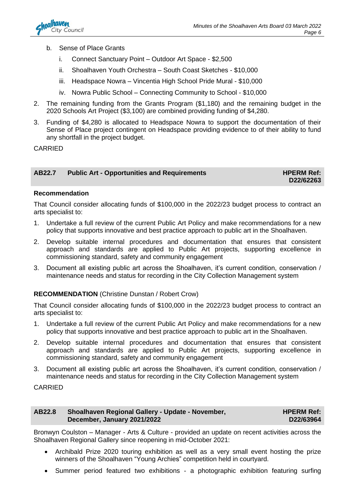- b. Sense of Place Grants
	- i. Connect Sanctuary Point Outdoor Art Space \$2,500
	- ii. Shoalhaven Youth Orchestra South Coast Sketches \$10,000
	- iii. Headspace Nowra Vincentia High School Pride Mural \$10,000
	- iv. Nowra Public School Connecting Community to School \$10,000
- 2. The remaining funding from the Grants Program (\$1,180) and the remaining budget in the 2020 Schools Art Project (\$3,100) are combined providing funding of \$4,280.
- 3. Funding of \$4,280 is allocated to Headspace Nowra to support the documentation of their Sense of Place project contingent on Headspace providing evidence to of their ability to fund any shortfall in the project budget.

CARRIED

#### AB22.7 **Public Art - Opportunities and Requirements HPERM Ref: HPERM Ref:**

**D22/62263**

#### **Recommendation**

That Council consider allocating funds of \$100,000 in the 2022/23 budget process to contract an arts specialist to:

- 1. Undertake a full review of the current Public Art Policy and make recommendations for a new policy that supports innovative and best practice approach to public art in the Shoalhaven.
- 2. Develop suitable internal procedures and documentation that ensures that consistent approach and standards are applied to Public Art projects, supporting excellence in commissioning standard, safety and community engagement
- 3. Document all existing public art across the Shoalhaven, it's current condition, conservation / maintenance needs and status for recording in the City Collection Management system

#### **RECOMMENDATION** (Christine Dunstan / Robert Crow)

That Council consider allocating funds of \$100,000 in the 2022/23 budget process to contract an arts specialist to:

- 1. Undertake a full review of the current Public Art Policy and make recommendations for a new policy that supports innovative and best practice approach to public art in the Shoalhaven.
- 2. Develop suitable internal procedures and documentation that ensures that consistent approach and standards are applied to Public Art projects, supporting excellence in commissioning standard, safety and community engagement
- 3. Document all existing public art across the Shoalhaven, it's current condition, conservation / maintenance needs and status for recording in the City Collection Management system

#### CARRIED

| AB22.8 | Shoalhaven Regional Gallery - Update - November, | <b>HPERM Ref:</b> |
|--------|--------------------------------------------------|-------------------|
|        | December, January 2021/2022                      | D22/63964         |

Bronwyn Coulston – Manager - Arts & Culture - provided an update on recent activities across the Shoalhaven Regional Gallery since reopening in mid-October 2021:

- Archibald Prize 2020 touring exhibition as well as a very small event hosting the prize winners of the Shoalhaven "Young Archies" competition held in courtyard.
- Summer period featured two exhibitions a photographic exhibition featuring surfing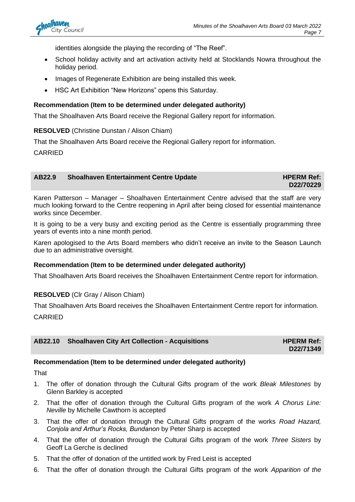identities alongside the playing the recording of "The Reef".

- School holiday activity and art activation activity held at Stocklands Nowra throughout the holiday period.
- Images of Regenerate Exhibition are being installed this week.
- HSC Art Exhibition "New Horizons" opens this Saturday.

#### **Recommendation (Item to be determined under delegated authority)**

That the Shoalhaven Arts Board receive the Regional Gallery report for information.

**RESOLVED** (Christine Dunstan / Alison Chiam)

That the Shoalhaven Arts Board receive the Regional Gallery report for information.

CARRIED

#### **AB22.9** Shoalhaven Entertainment Centre Update **Mateur Additional HIPERM Ref:**

**D22/70229**

Karen Patterson – Manager – Shoalhaven Entertainment Centre advised that the staff are very much looking forward to the Centre reopening in April after being closed for essential maintenance works since December.

It is going to be a very busy and exciting period as the Centre is essentially programming three years of events into a nine month period.

Karen apologised to the Arts Board members who didn't receive an invite to the Season Launch due to an administrative oversight.

#### **Recommendation (Item to be determined under delegated authority)**

That Shoalhaven Arts Board receives the Shoalhaven Entertainment Centre report for information.

#### **RESOLVED** (Clr Gray / Alison Chiam)

That Shoalhaven Arts Board receives the Shoalhaven Entertainment Centre report for information. CARRIED

#### **AB22.10** Shoalhaven City Art Collection - Acquisitions **HPERM Ref:**

**D22/71349**

#### **Recommendation (Item to be determined under delegated authority)**

That

- 1. The offer of donation through the Cultural Gifts program of the work *Bleak Milestones* by Glenn Barkley is accepted
- 2. That the offer of donation through the Cultural Gifts program of the work *A Chorus Line: Neville* by Michelle Cawthorn is accepted
- 3. That the offer of donation through the Cultural Gifts program of the works *Road Hazard, Conjola and Arthur's Rocks, Bundanon* by Peter Sharp is accepted
- 4. That the offer of donation through the Cultural Gifts program of the work *Three Sisters* by Geoff La Gerche is declined
- 5. That the offer of donation of the untitled work by Fred Leist is accepted
- 6. That the offer of donation through the Cultural Gifts program of the work *Apparition of the*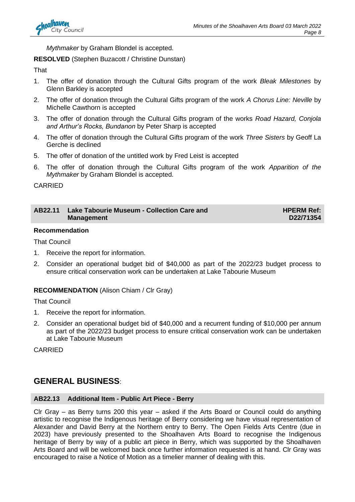

*Mythmaker* by Graham Blondel is accepted.

#### **RESOLVED** (Stephen Buzacott / Christine Dunstan)

**That** 

- 1. The offer of donation through the Cultural Gifts program of the work *Bleak Milestones* by Glenn Barkley is accepted
- 2. The offer of donation through the Cultural Gifts program of the work *A Chorus Line: Neville* by Michelle Cawthorn is accepted
- 3. The offer of donation through the Cultural Gifts program of the works *Road Hazard, Conjola and Arthur's Rocks, Bundanon* by Peter Sharp is accepted
- 4. The offer of donation through the Cultural Gifts program of the work *Three Sisters* by Geoff La Gerche is declined
- 5. The offer of donation of the untitled work by Fred Leist is accepted
- 6. The offer of donation through the Cultural Gifts program of the work *Apparition of the Mythmaker* by Graham Blondel is accepted.

CARRIED

#### **AB22.11 Lake Tabourie Museum - Collection Care and Management**

**HPERM Ref: D22/71354**

#### **Recommendation**

That Council

- 1. Receive the report for information.
- 2. Consider an operational budget bid of \$40,000 as part of the 2022/23 budget process to ensure critical conservation work can be undertaken at Lake Tabourie Museum

#### **RECOMMENDATION** (Alison Chiam / Clr Gray)

That Council

- 1. Receive the report for information.
- 2. Consider an operational budget bid of \$40,000 and a recurrent funding of \$10,000 per annum as part of the 2022/23 budget process to ensure critical conservation work can be undertaken at Lake Tabourie Museum

CARRIED

## **GENERAL BUSINESS**:

#### **AB22.13 Additional Item - Public Art Piece - Berry**

Clr Gray – as Berry turns 200 this year – asked if the Arts Board or Council could do anything artistic to recognise the Indigenous heritage of Berry considering we have visual representation of Alexander and David Berry at the Northern entry to Berry. The Open Fields Arts Centre (due in 2023) have previously presented to the Shoalhaven Arts Board to recognise the Indigenous heritage of Berry by way of a public art piece in Berry, which was supported by the Shoalhaven Arts Board and will be welcomed back once further information requested is at hand. Clr Gray was encouraged to raise a Notice of Motion as a timelier manner of dealing with this.